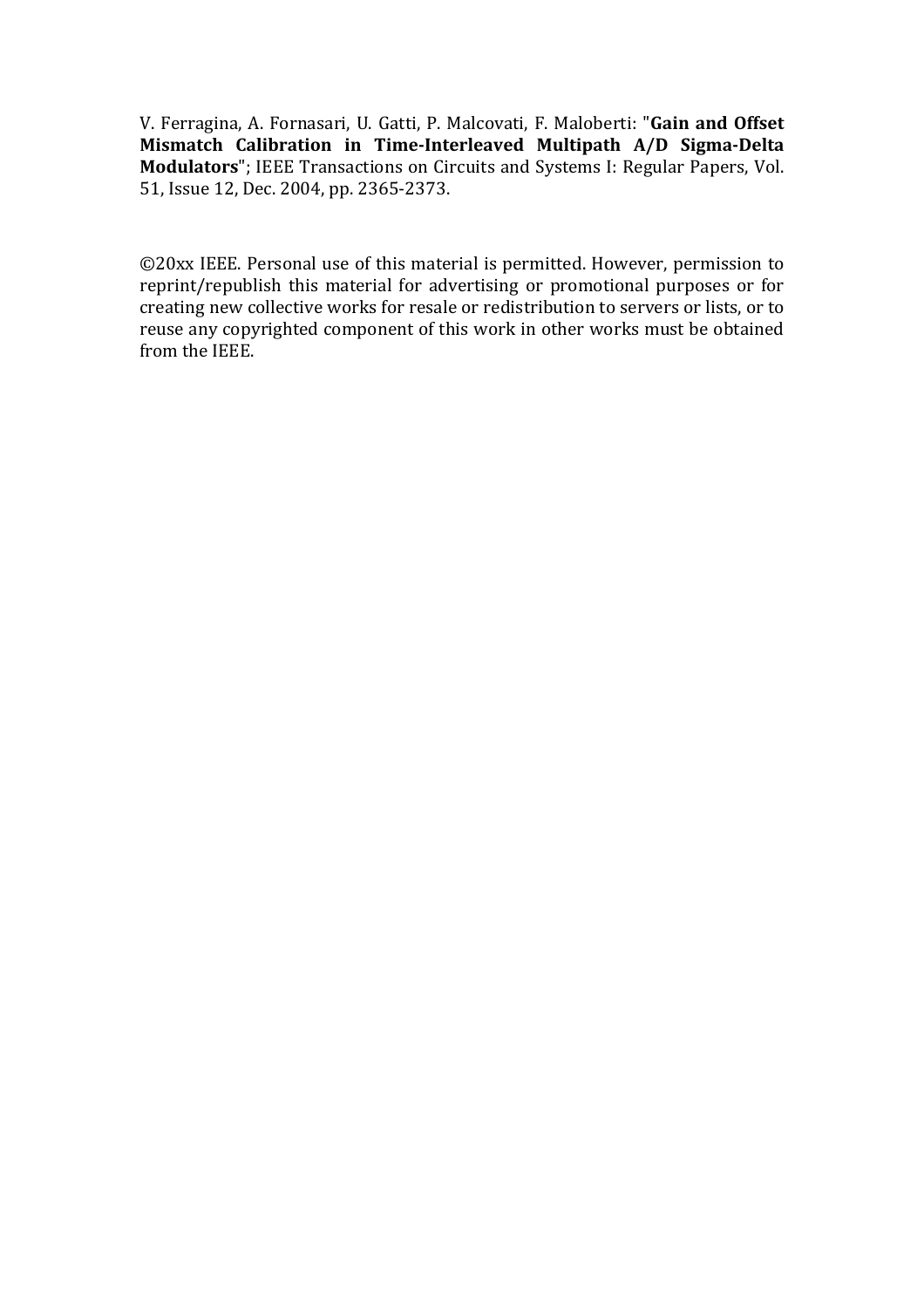V. Ferragina, A. Fornasari, U. Gatti, P. Malcovati, F. Maloberti: "Gain and Offset Mismatch Calibration in Time-Interleaved Multipath A/D Sigma-Delta **Modulators**"; IEEE Transactions on Circuits and Systems I: Regular Papers, Vol. 51, Issue 12, Dec. 2004, pp. 2365-2373.

©20xx IEEE. Personal use of this material is permitted. However, permission to reprint/republish this material for advertising or promotional purposes or for creating new collective works for resale or redistribution to servers or lists, or to reuse any copyrighted component of this work in other works must be obtained from the IEEE.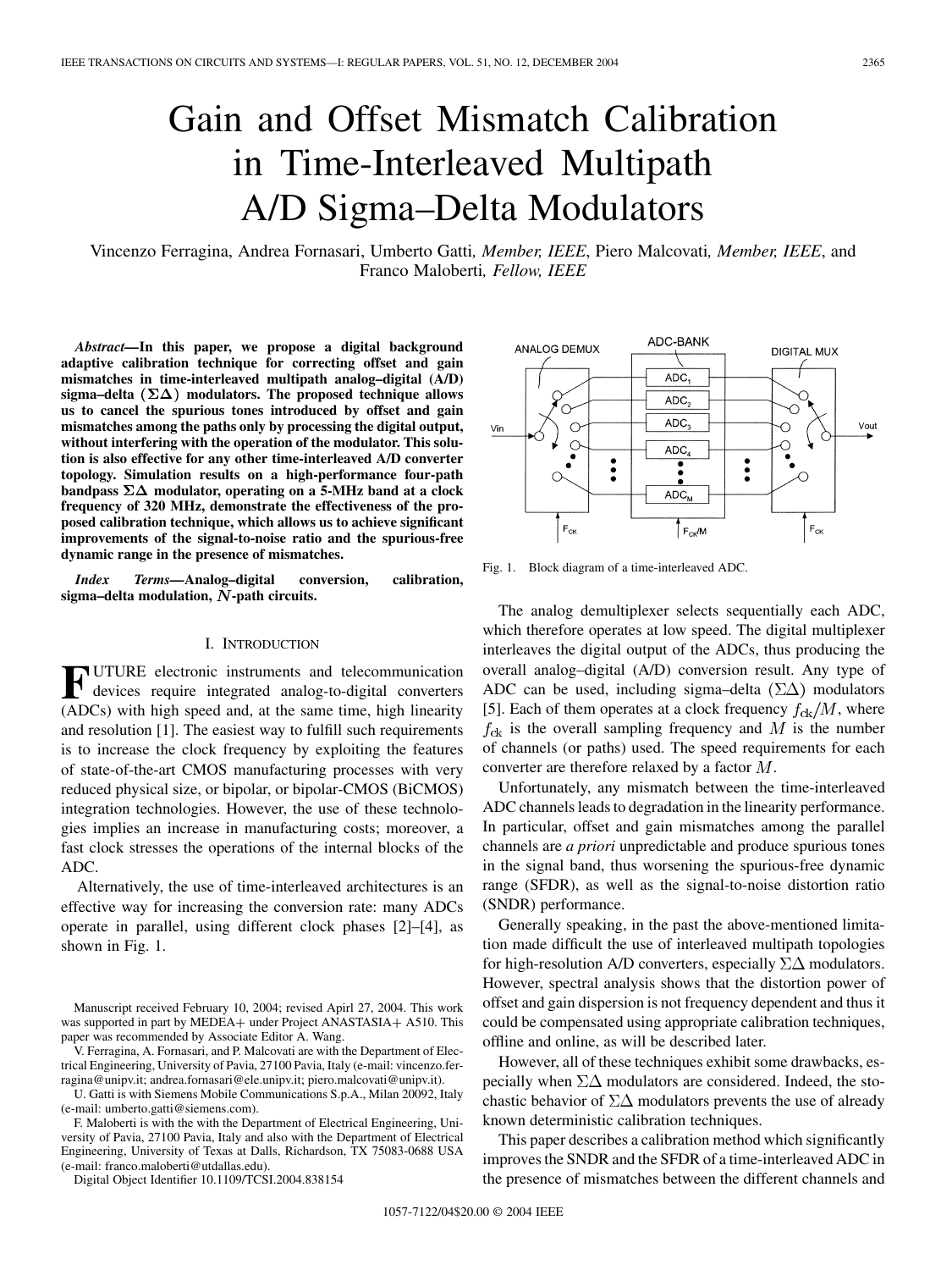# Gain and Offset Mismatch Calibration in Time-Interleaved Multipath A/D Sigma–Delta Modulators

Vincenzo Ferragina, Andrea Fornasari, Umberto Gatti*, Member, IEEE*, Piero Malcovati*, Member, IEEE*, and Franco Maloberti*, Fellow, IEEE*

*Abstract—***In this paper, we propose a digital background adaptive calibration technique for correcting offset and gain mismatches in time-interleaved multipath analog–digital (A/D)** sigma-delta  $(\Sigma \Delta)$  modulators. The proposed technique allows **us to cancel the spurious tones introduced by offset and gain mismatches among the paths only by processing the digital output, without interfering with the operation of the modulator. This solution is also effective for any other time-interleaved A/D converter topology. Simulation results on a high-performance four-path bandpass**  $\Sigma\Delta$  modulator, operating on a 5-MHz band at a clock **frequency of 320 MHz, demonstrate the effectiveness of the proposed calibration technique, which allows us to achieve significant improvements of the signal-to-noise ratio and the spurious-free dynamic range in the presence of mismatches.**

*Index Terms—***Analog–digital conversion, calibration,** sigma–delta modulation, N-path circuits.

### I. INTRODUCTION

**F** UTURE electronic instruments and telecommunication devices require integrated analog-to-digital converters (ADCs) with high speed and, at the same time, high linearity and resolution [[1\]](#page-8-0). The easiest way to fulfill such requirements is to increase the clock frequency by exploiting the features of state-of-the-art CMOS manufacturing processes with very reduced physical size, or bipolar, or bipolar-CMOS (BiCMOS) integration technologies. However, the use of these technologies implies an increase in manufacturing costs; moreover, a fast clock stresses the operations of the internal blocks of the ADC.

Alternatively, the use of time-interleaved architectures is an effective way for increasing the conversion rate: many ADCs operate in parallel, using different clock phases [[2\]](#page-8-0)–[\[4](#page-8-0)], as shown in Fig. 1.

V. Ferragina, A. Fornasari, and P. Malcovati are with the Department of Electrical Engineering, University of Pavia, 27100 Pavia, Italy (e-mail: vincenzo.ferragina@unipv.it; andrea.fornasari@ele.unipv.it; piero.malcovati@unipv.it).

U. Gatti is with Siemens Mobile Communications S.p.A., Milan 20092, Italy (e-mail: umberto.gatti@siemens.com).

F. Maloberti is with the with the Department of Electrical Engineering, University of Pavia, 27100 Pavia, Italy and also with the Department of Electrical Engineering, University of Texas at Dalls, Richardson, TX 75083-0688 USA (e-mail: franco.maloberti@utdallas.edu).

Digital Object Identifier 10.1109/TCSI.2004.838154



Fig. 1. Block diagram of a time-interleaved ADC.

The analog demultiplexer selects sequentially each ADC, which therefore operates at low speed. The digital multiplexer interleaves the digital output of the ADCs, thus producing the overall analog–digital (A/D) conversion result. Any type of ADC can be used, including sigma–delta  $(\Sigma \Delta)$  modulators [\[5](#page-8-0)]. Each of them operates at a clock frequency  $f_{ck}/M$ , where  $f_{ck}$  is the overall sampling frequency and M is the number of channels (or paths) used. The speed requirements for each converter are therefore relaxed by a factor  $M$ .

Unfortunately, any mismatch between the time-interleaved ADC channels leads to degradation in the linearity performance. In particular, offset and gain mismatches among the parallel channels are *a priori* unpredictable and produce spurious tones in the signal band, thus worsening the spurious-free dynamic range (SFDR), as well as the signal-to-noise distortion ratio (SNDR) performance.

Generally speaking, in the past the above-mentioned limitation made difficult the use of interleaved multipath topologies for high-resolution A/D converters, especially  $\Sigma\Delta$  modulators. However, spectral analysis shows that the distortion power of offset and gain dispersion is not frequency dependent and thus it could be compensated using appropriate calibration techniques, offline and online, as will be described later.

However, all of these techniques exhibit some drawbacks, especially when  $\Sigma\Delta$  modulators are considered. Indeed, the stochastic behavior of  $\Sigma\Delta$  modulators prevents the use of already known deterministic calibration techniques.

This paper describes a calibration method which significantly improves the SNDR and the SFDR of a time-interleaved ADC in the presence of mismatches between the different channels and

Manuscript received February 10, 2004; revised Apirl 27, 2004. This work was supported in part by MEDEA+ under Project ANASTASIA+ A510. This paper was recommended by Associate Editor A. Wang.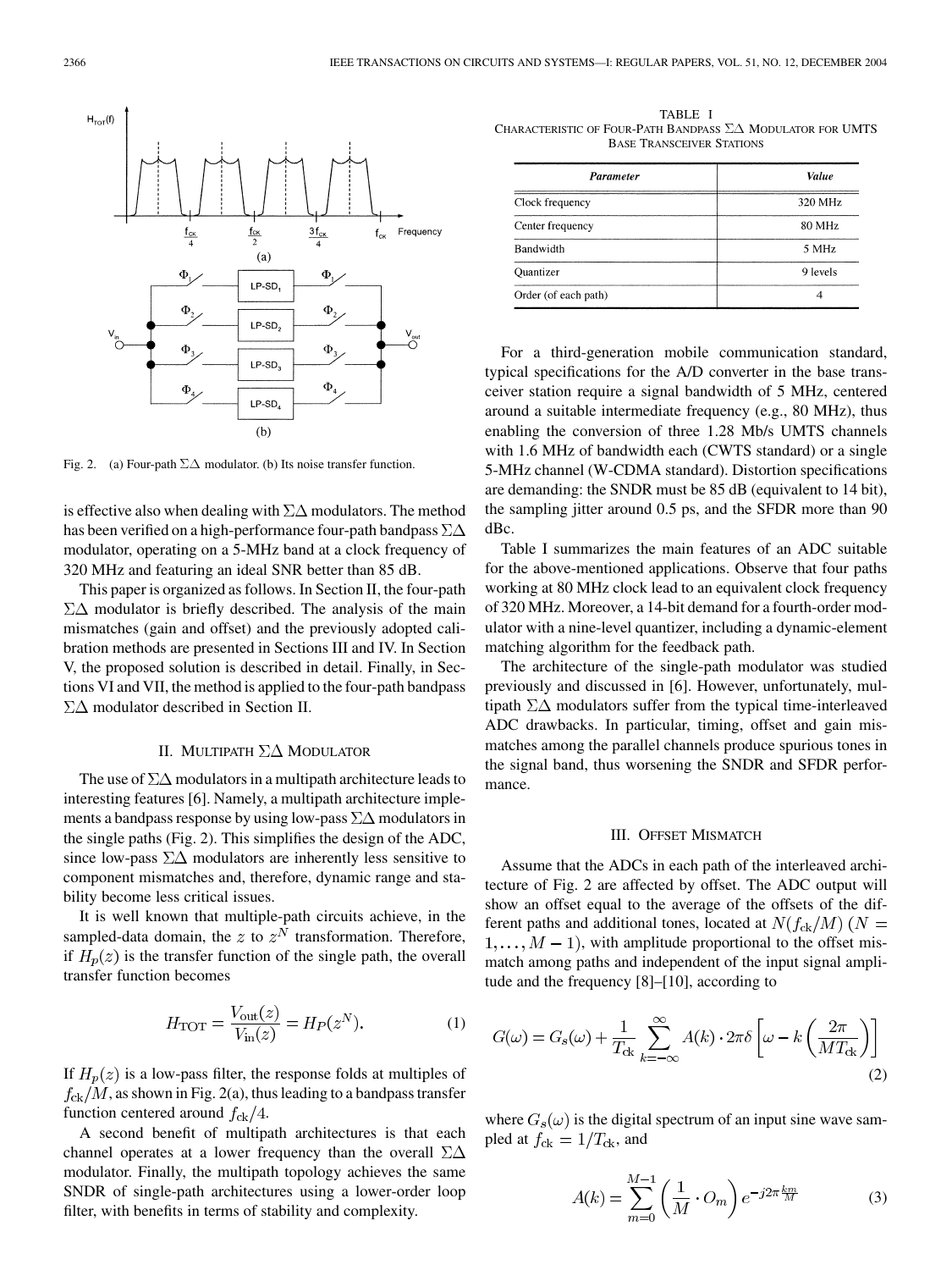

Fig. 2. (a) Four-path  $\Sigma \Delta$  modulator. (b) Its noise transfer function.

is effective also when dealing with  $\Sigma\Delta$  modulators. The method has been verified on a high-performance four-path bandpass  $\Sigma\Delta$ modulator, operating on a 5-MHz band at a clock frequency of 320 MHz and featuring an ideal SNR better than 85 dB.

This paper is organized as follows. In Section II, the four-path  $\Sigma\Delta$  modulator is briefly described. The analysis of the main mismatches (gain and offset) and the previously adopted calibration methods are presented in Sections III and IV. In Section V, the proposed solution is described in detail. Finally, in Sections VI and VII, the method is applied to the four-path bandpass  $\Sigma\Delta$  modulator described in Section II.

# II. MULTIPATH  $\Sigma\Delta$  MODULATOR

The use of  $\Sigma\Delta$  modulators in a multipath architecture leads to interesting features [[6\]](#page-8-0). Namely, a multipath architecture implements a bandpass response by using low-pass  $\Sigma\Delta$  modulators in the single paths (Fig. 2). This simplifies the design of the ADC, since low-pass  $\Sigma\Delta$  modulators are inherently less sensitive to component mismatches and, therefore, dynamic range and stability become less critical issues.

It is well known that multiple-path circuits achieve, in the sampled-data domain, the  $z$  to  $z^N$  transformation. Therefore, if  $H_p(z)$  is the transfer function of the single path, the overall transfer function becomes

$$
H_{\text{TOT}} = \frac{V_{\text{out}}(z)}{V_{\text{in}}(z)} = H_P(z^N). \tag{1}
$$

If  $H_p(z)$  is a low-pass filter, the response folds at multiples of  $f_{\rm c k}/M$ , as shown in Fig. 2(a), thus leading to a bandpass transfer function centered around  $f_{\rm ck}/4$ .

A second benefit of multipath architectures is that each channel operates at a lower frequency than the overall  $\Sigma\Delta$ modulator. Finally, the multipath topology achieves the same SNDR of single-path architectures using a lower-order loop filter, with benefits in terms of stability and complexity.

TABLE I CHARACTERISTIC OF FOUR-PATH BANDPASS  $\Sigma\Delta$  MODULATOR FOR UMTS BASE TRANSCEIVER STATIONS

| Parameter            | Value    |
|----------------------|----------|
| Clock frequency      | 320 MHz  |
| Center frequency     | 80 MHz   |
| Bandwidth            | 5 MHz    |
| Quantizer            | 9 levels |
| Order (of each path) |          |

For a third-generation mobile communication standard, typical specifications for the A/D converter in the base transceiver station require a signal bandwidth of 5 MHz, centered around a suitable intermediate frequency (e.g., 80 MHz), thus enabling the conversion of three 1.28 Mb/s UMTS channels with 1.6 MHz of bandwidth each (CWTS standard) or a single 5-MHz channel (W-CDMA standard). Distortion specifications are demanding: the SNDR must be 85 dB (equivalent to 14 bit), the sampling jitter around 0.5 ps, and the SFDR more than 90 dBc.

Table I summarizes the main features of an ADC suitable for the above-mentioned applications. Observe that four paths working at 80 MHz clock lead to an equivalent clock frequency of 320 MHz. Moreover, a 14-bit demand for a fourth-order modulator with a nine-level quantizer, including a dynamic-element matching algorithm for the feedback path.

The architecture of the single-path modulator was studied previously and discussed in [[6\]](#page-8-0). However, unfortunately, multipath  $\Sigma\Delta$  modulators suffer from the typical time-interleaved ADC drawbacks. In particular, timing, offset and gain mismatches among the parallel channels produce spurious tones in the signal band, thus worsening the SNDR and SFDR performance.

# III. OFFSET MISMATCH

Assume that the ADCs in each path of the interleaved architecture of Fig. 2 are affected by offset. The ADC output will show an offset equal to the average of the offsets of the different paths and additional tones, located at  $N(f_{ck}/M)$  ( $N =$  $1, \ldots, M-1$ , with amplitude proportional to the offset mismatch among paths and independent of the input signal amplitude and the frequency [[8\]](#page-8-0)–[[10\]](#page-8-0), according to

$$
G(\omega) = G_s(\omega) + \frac{1}{T_{\text{ck}}} \sum_{k=-\infty}^{\infty} A(k) \cdot 2\pi \delta \left[ \omega - k \left( \frac{2\pi}{MT_{\text{ck}}} \right) \right]
$$
(2)

where  $G_s(\omega)$  is the digital spectrum of an input sine wave sampled at  $f_{\text{ck}} = 1/T_{\text{ck}}$ , and

$$
A(k) = \sum_{m=0}^{M-1} \left(\frac{1}{M} \cdot O_m\right) e^{-j2\pi \frac{km}{M}}
$$
 (3)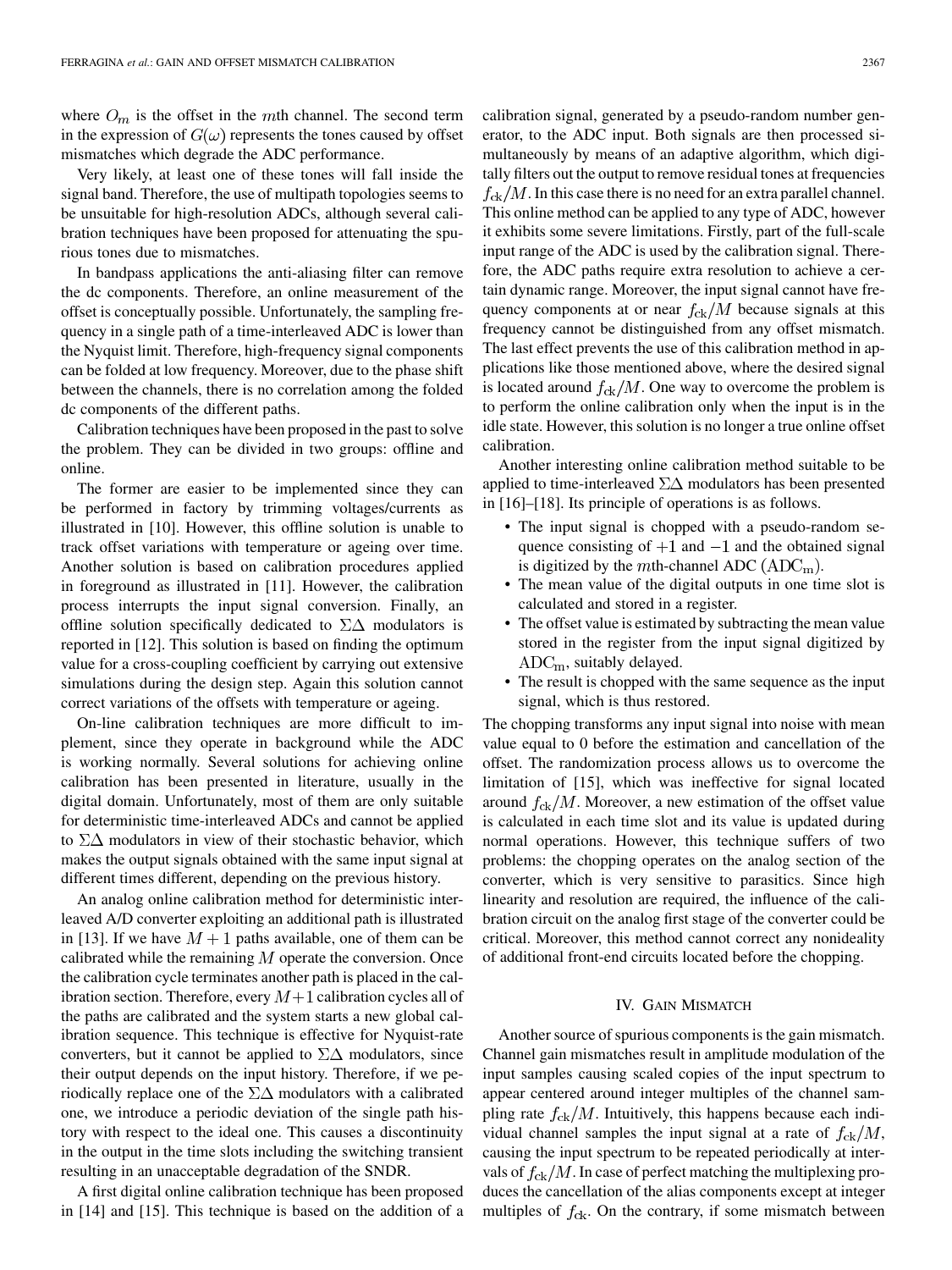where  $O_m$  is the offset in the mth channel. The second term in the expression of  $G(\omega)$  represents the tones caused by offset mismatches which degrade the ADC performance.

Very likely, at least one of these tones will fall inside the signal band. Therefore, the use of multipath topologies seems to be unsuitable for high-resolution ADCs, although several calibration techniques have been proposed for attenuating the spurious tones due to mismatches.

In bandpass applications the anti-aliasing filter can remove the dc components. Therefore, an online measurement of the offset is conceptually possible. Unfortunately, the sampling frequency in a single path of a time-interleaved ADC is lower than the Nyquist limit. Therefore, high-frequency signal components can be folded at low frequency. Moreover, due to the phase shift between the channels, there is no correlation among the folded dc components of the different paths.

Calibration techniques have been proposed in the past to solve the problem. They can be divided in two groups: offline and online.

The former are easier to be implemented since they can be performed in factory by trimming voltages/currents as illustrated in [\[10](#page-8-0)]. However, this offline solution is unable to track offset variations with temperature or ageing over time. Another solution is based on calibration procedures applied in foreground as illustrated in [[11\]](#page-8-0). However, the calibration process interrupts the input signal conversion. Finally, an offline solution specifically dedicated to  $\Sigma\Delta$  modulators is reported in [\[12](#page-8-0)]. This solution is based on finding the optimum value for a cross-coupling coefficient by carrying out extensive simulations during the design step. Again this solution cannot correct variations of the offsets with temperature or ageing.

On-line calibration techniques are more difficult to implement, since they operate in background while the ADC is working normally. Several solutions for achieving online calibration has been presented in literature, usually in the digital domain. Unfortunately, most of them are only suitable for deterministic time-interleaved ADCs and cannot be applied to  $\Sigma\Delta$  modulators in view of their stochastic behavior, which makes the output signals obtained with the same input signal at different times different, depending on the previous history.

An analog online calibration method for deterministic interleaved A/D converter exploiting an additional path is illustrated in [\[13](#page-8-0)]. If we have  $M + 1$  paths available, one of them can be calibrated while the remaining  $M$  operate the conversion. Once the calibration cycle terminates another path is placed in the calibration section. Therefore, every  $M+1$  calibration cycles all of the paths are calibrated and the system starts a new global calibration sequence. This technique is effective for Nyquist-rate converters, but it cannot be applied to  $\Sigma\Delta$  modulators, since their output depends on the input history. Therefore, if we periodically replace one of the  $\Sigma\Delta$  modulators with a calibrated one, we introduce a periodic deviation of the single path history with respect to the ideal one. This causes a discontinuity in the output in the time slots including the switching transient resulting in an unacceptable degradation of the SNDR.

A first digital online calibration technique has been proposed in [[14](#page-8-0)] and [\[15](#page-8-0)]. This technique is based on the addition of a calibration signal, generated by a pseudo-random number generator, to the ADC input. Both signals are then processed simultaneously by means of an adaptive algorithm, which digitally filters out the output to remove residual tones at frequencies  $f_{ck}/M$ . In this case there is no need for an extra parallel channel. This online method can be applied to any type of ADC, however it exhibits some severe limitations. Firstly, part of the full-scale input range of the ADC is used by the calibration signal. Therefore, the ADC paths require extra resolution to achieve a certain dynamic range. Moreover, the input signal cannot have frequency components at or near  $f_{ck}/M$  because signals at this frequency cannot be distinguished from any offset mismatch. The last effect prevents the use of this calibration method in applications like those mentioned above, where the desired signal is located around  $f_{ck}/M$ . One way to overcome the problem is to perform the online calibration only when the input is in the idle state. However, this solution is no longer a true online offset calibration.

Another interesting online calibration method suitable to be applied to time-interleaved  $\Sigma\Delta$  modulators has been presented in [[16\]](#page-8-0)–[\[18](#page-8-0)]. Its principle of operations is as follows.

- The input signal is chopped with a pseudo-random sequence consisting of  $+1$  and  $-1$  and the obtained signal is digitized by the *m*th-channel ADC  $(ADC_m)$ .
- The mean value of the digital outputs in one time slot is calculated and stored in a register.
- The offset value is estimated by subtracting the mean value stored in the register from the input signal digitized by  $ADC<sub>m</sub>$ , suitably delayed.
- The result is chopped with the same sequence as the input signal, which is thus restored.

The chopping transforms any input signal into noise with mean value equal to 0 before the estimation and cancellation of the offset. The randomization process allows us to overcome the limitation of [\[15](#page-8-0)], which was ineffective for signal located around  $f_{ck}/M$ . Moreover, a new estimation of the offset value is calculated in each time slot and its value is updated during normal operations. However, this technique suffers of two problems: the chopping operates on the analog section of the converter, which is very sensitive to parasitics. Since high linearity and resolution are required, the influence of the calibration circuit on the analog first stage of the converter could be critical. Moreover, this method cannot correct any nonideality of additional front-end circuits located before the chopping.

#### IV. GAIN MISMATCH

Another source of spurious components is the gain mismatch. Channel gain mismatches result in amplitude modulation of the input samples causing scaled copies of the input spectrum to appear centered around integer multiples of the channel sampling rate  $f_{ck}/M$ . Intuitively, this happens because each individual channel samples the input signal at a rate of  $f_{ck}/M$ , causing the input spectrum to be repeated periodically at intervals of  $f_{\text{ck}}/M$ . In case of perfect matching the multiplexing produces the cancellation of the alias components except at integer multiples of  $f_{\text{ck}}$ . On the contrary, if some mismatch between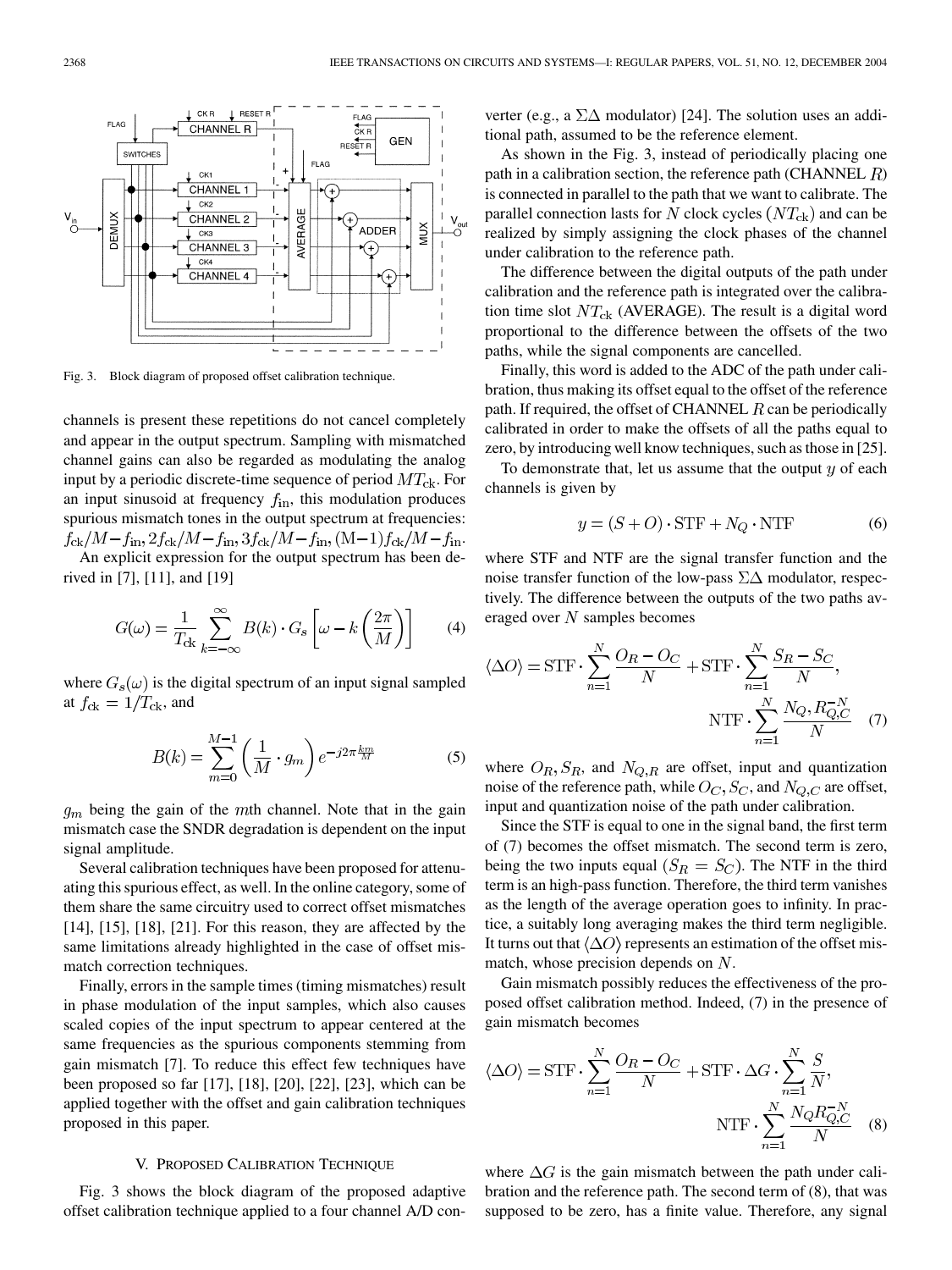Fig. 3. Block diagram of proposed offset calibration technique.

channels is present these repetitions do not cancel completely and appear in the output spectrum. Sampling with mismatched channel gains can also be regarded as modulating the analog input by a periodic discrete-time sequence of period  $MT_{ck}$ . For an input sinusoid at frequency  $f_{\text{in}}$ , this modulation produces spurious mismatch tones in the output spectrum at frequencies:  $f_{\rm ck}/M - f_{\rm in}$ ,  $2f_{\rm ck}/M - f_{\rm in}$ ,  $3f_{\rm ck}/M - f_{\rm in}$ ,  $(M-1)f_{\rm ck}/M - f_{\rm in}$ . An explicit expression for the output spectrum has been de-

rived in [\[7](#page-8-0)], [\[11](#page-8-0)], and [[19\]](#page-8-0)

$$
G(\omega) = \frac{1}{T_{\rm ck}} \sum_{k=-\infty}^{\infty} B(k) \cdot G_s \left[ \omega - k \left( \frac{2\pi}{M} \right) \right]
$$
 (4)

where  $G_s(\omega)$  is the digital spectrum of an input signal sampled at  $f_{\text{ck}} = 1/T_{\text{ck}}$ , and

$$
B(k) = \sum_{m=0}^{M-1} \left(\frac{1}{M} \cdot g_m\right) e^{-j2\pi \frac{km}{M}} \tag{5}
$$

 $g_m$  being the gain of the mth channel. Note that in the gain mismatch case the SNDR degradation is dependent on the input signal amplitude.

Several calibration techniques have been proposed for attenuating this spurious effect, as well. In the online category, some of them share the same circuitry used to correct offset mismatches [[14\]](#page-8-0), [\[15](#page-8-0)], [\[18](#page-8-0)], [[21\]](#page-8-0). For this reason, they are affected by the same limitations already highlighted in the case of offset mismatch correction techniques.

Finally, errors in the sample times (timing mismatches) result in phase modulation of the input samples, which also causes scaled copies of the input spectrum to appear centered at the same frequencies as the spurious components stemming from gain mismatch [[7\]](#page-8-0). To reduce this effect few techniques have been proposed so far [\[17](#page-8-0)], [\[18](#page-8-0)], [\[20](#page-8-0)], [\[22](#page-8-0)], [\[23](#page-8-0)], which can be applied together with the offset and gain calibration techniques proposed in this paper.

# V. PROPOSED CALIBRATION TECHNIQUE

Fig. 3 shows the block diagram of the proposed adaptive offset calibration technique applied to a four channel A/D converter (e.g., a  $\Sigma\Delta$  modulator) [\[24](#page-8-0)]. The solution uses an additional path, assumed to be the reference element.

As shown in the Fig. 3, instead of periodically placing one path in a calibration section, the reference path (CHANNEL  $R$ ) is connected in parallel to the path that we want to calibrate. The parallel connection lasts for N clock cycles  $(NT_{ck})$  and can be realized by simply assigning the clock phases of the channel under calibration to the reference path.

The difference between the digital outputs of the path under calibration and the reference path is integrated over the calibration time slot  $NT_{ck}$  (AVERAGE). The result is a digital word proportional to the difference between the offsets of the two paths, while the signal components are cancelled.

Finally, this word is added to the ADC of the path under calibration, thus making its offset equal to the offset of the reference path. If required, the offset of CHANNEL  $R$  can be periodically calibrated in order to make the offsets of all the paths equal to zero, by introducing well know techniques, such as those in [[25\]](#page-8-0).

To demonstrate that, let us assume that the output  $y$  of each channels is given by

$$
y = (S + O) \cdot \text{STF} + N_Q \cdot \text{NTF} \tag{6}
$$

where STF and NTF are the signal transfer function and the noise transfer function of the low-pass  $\Sigma\Delta$  modulator, respectively. The difference between the outputs of the two paths averaged over  $N$  samples becomes

$$
\langle \Delta O \rangle = \text{STF} \cdot \sum_{n=1}^{N} \frac{O_R - O_C}{N} + \text{STF} \cdot \sum_{n=1}^{N} \frac{S_R - S_C}{N},
$$
  
NTF 
$$
\sum_{n=1}^{N} \frac{N_Q, R_{Q,C}^{-N}}{N}
$$
 (7)

where  $O_R$ ,  $S_R$ , and  $N_{Q,R}$  are offset, input and quantization noise of the reference path, while  $O_C$ ,  $S_C$ , and  $N_{Q,C}$  are offset, input and quantization noise of the path under calibration.

Since the STF is equal to one in the signal band, the first term of (7) becomes the offset mismatch. The second term is zero, being the two inputs equal  $(S_R = S_C)$ . The NTF in the third term is an high-pass function. Therefore, the third term vanishes as the length of the average operation goes to infinity. In practice, a suitably long averaging makes the third term negligible. It turns out that  $\langle \Delta O \rangle$  represents an estimation of the offset mismatch, whose precision depends on  $N$ .

Gain mismatch possibly reduces the effectiveness of the proposed offset calibration method. Indeed, (7) in the presence of gain mismatch becomes

$$
\langle \Delta O \rangle = \text{STF} \cdot \sum_{n=1}^{N} \frac{O_R - O_C}{N} + \text{STF} \cdot \Delta G \cdot \sum_{n=1}^{N} \frac{S}{N},
$$
  
NTF 
$$
\cdot \sum_{n=1}^{N} \frac{N_Q R_{Q,C}^{-N}}{N} \quad (8)
$$

where  $\Delta G$  is the gain mismatch between the path under calibration and the reference path. The second term of (8), that was supposed to be zero, has a finite value. Therefore, any signal

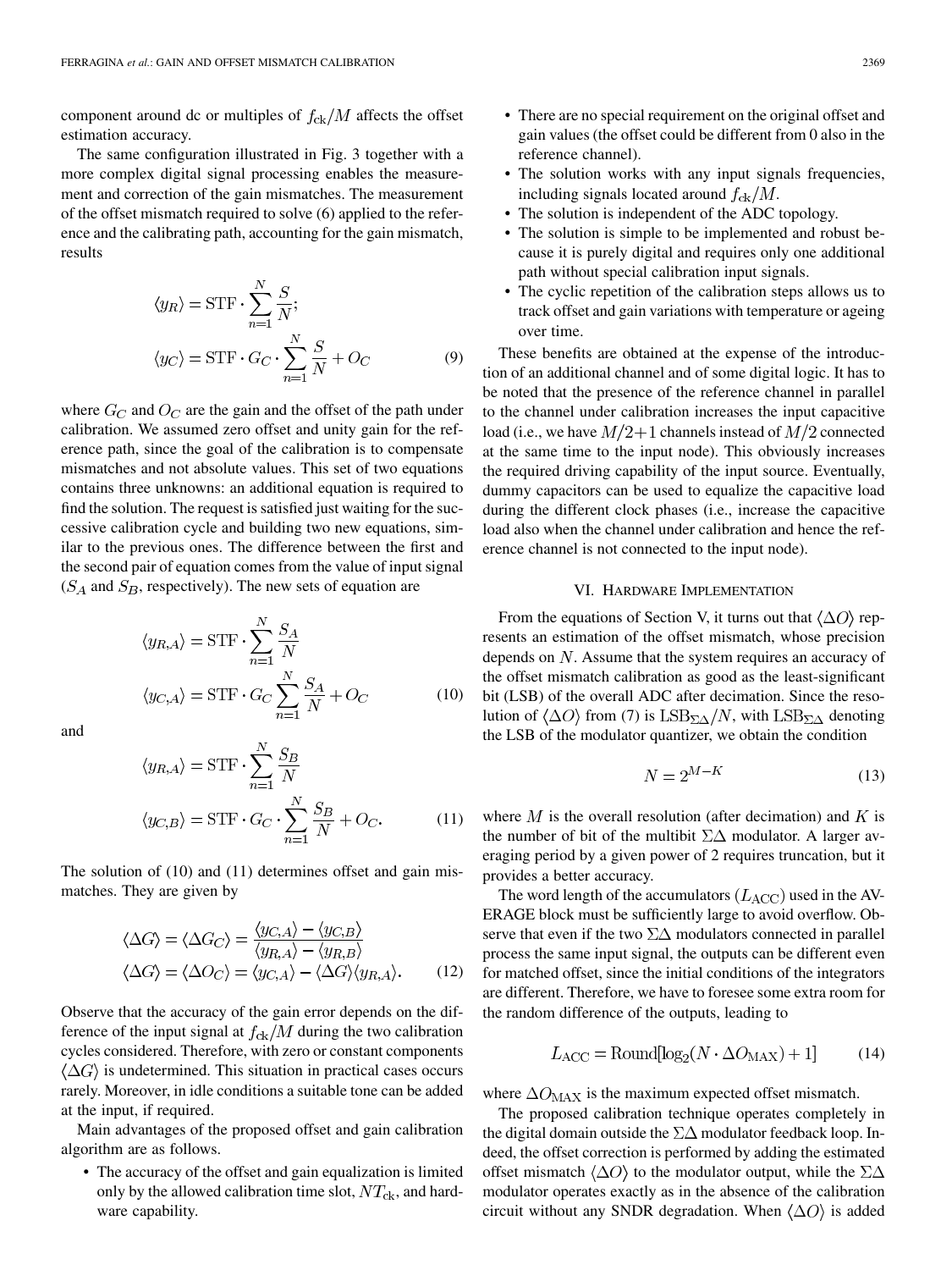component around dc or multiples of  $f_{\text{ck}}/M$  affects the offset estimation accuracy.

The same configuration illustrated in Fig. 3 together with a more complex digital signal processing enables the measurement and correction of the gain mismatches. The measurement of the offset mismatch required to solve (6) applied to the reference and the calibrating path, accounting for the gain mismatch, results

$$
\langle y_R \rangle = \text{STF} \cdot \sum_{n=1}^{N} \frac{S}{N};
$$
  

$$
\langle y_C \rangle = \text{STF} \cdot G_C \cdot \sum_{n=1}^{N} \frac{S}{N} + O_C
$$
 (9)

where  $G_C$  and  $O_C$  are the gain and the offset of the path under calibration. We assumed zero offset and unity gain for the reference path, since the goal of the calibration is to compensate mismatches and not absolute values. This set of two equations contains three unknowns: an additional equation is required to find the solution. The request is satisfied just waiting for the successive calibration cycle and building two new equations, similar to the previous ones. The difference between the first and the second pair of equation comes from the value of input signal  $(S_A \text{ and } S_B,$  respectively). The new sets of equation are

$$
\langle y_{R,A} \rangle = \text{STF} \cdot \sum_{n=1}^{N} \frac{S_A}{N}
$$

$$
\langle y_{C,A} \rangle = \text{STF} \cdot G_C \sum_{n=1}^{N} \frac{S_A}{N} + O_C \tag{10}
$$

and

$$
\langle y_{R,A} \rangle = \text{STF} \cdot \sum_{n=1}^{N} \frac{S_B}{N}
$$

$$
\langle y_{C,B} \rangle = \text{STF} \cdot G_C \cdot \sum_{n=1}^{N} \frac{S_B}{N} + O_C.
$$
 (11)

The solution of (10) and (11) determines offset and gain mismatches. They are given by

$$
\langle \Delta G \rangle = \langle \Delta G_C \rangle = \frac{\langle y_{C,A} \rangle - \langle y_{C,B} \rangle}{\langle y_{R,A} \rangle - \langle y_{R,B} \rangle}
$$
  

$$
\langle \Delta G \rangle = \langle \Delta O_C \rangle = \langle y_{C,A} \rangle - \langle \Delta G \rangle \langle y_{R,A} \rangle.
$$
 (12)

Observe that the accuracy of the gain error depends on the difference of the input signal at  $f_{ck}/M$  during the two calibration cycles considered. Therefore, with zero or constant components  $\langle \Delta G \rangle$  is undetermined. This situation in practical cases occurs rarely. Moreover, in idle conditions a suitable tone can be added at the input, if required.

Main advantages of the proposed offset and gain calibration algorithm are as follows.

• The accuracy of the offset and gain equalization is limited only by the allowed calibration time slot,  $NT_{ck}$ , and hardware capability.

- There are no special requirement on the original offset and gain values (the offset could be different from 0 also in the reference channel).
- The solution works with any input signals frequencies, including signals located around  $f_{\rm ck}/M$ .
- The solution is independent of the ADC topology.
- The solution is simple to be implemented and robust because it is purely digital and requires only one additional path without special calibration input signals.
- The cyclic repetition of the calibration steps allows us to track offset and gain variations with temperature or ageing over time.

These benefits are obtained at the expense of the introduction of an additional channel and of some digital logic. It has to be noted that the presence of the reference channel in parallel to the channel under calibration increases the input capacitive load (i.e., we have  $M/2+1$  channels instead of  $M/2$  connected at the same time to the input node). This obviously increases the required driving capability of the input source. Eventually, dummy capacitors can be used to equalize the capacitive load during the different clock phases (i.e., increase the capacitive load also when the channel under calibration and hence the reference channel is not connected to the input node).

### VI. HARDWARE IMPLEMENTATION

From the equations of Section V, it turns out that  $\langle \Delta O \rangle$  represents an estimation of the offset mismatch, whose precision depends on  $N$ . Assume that the system requires an accuracy of the offset mismatch calibration as good as the least-significant bit (LSB) of the overall ADC after decimation. Since the resolution of  $\langle \Delta O \rangle$  from (7) is  $\text{LSB}_{\Sigma\Delta}/N$ , with  $\text{LSB}_{\Sigma\Delta}$  denoting the LSB of the modulator quantizer, we obtain the condition

$$
N = 2^{M-K} \tag{13}
$$

where  $M$  is the overall resolution (after decimation) and  $K$  is the number of bit of the multibit  $\Sigma\Delta$  modulator. A larger averaging period by a given power of 2 requires truncation, but it provides a better accuracy.

The word length of the accumulators  $(L_{\text{ACC}})$  used in the AV-ERAGE block must be sufficiently large to avoid overflow. Observe that even if the two  $\Sigma\Delta$  modulators connected in parallel process the same input signal, the outputs can be different even for matched offset, since the initial conditions of the integrators are different. Therefore, we have to foresee some extra room for the random difference of the outputs, leading to

$$
L_{\rm ACC} = \text{Round}[\log_2(N \cdot \Delta O_{\rm MAX}) + 1] \tag{14}
$$

where  $\Delta O_{\text{MAX}}$  is the maximum expected offset mismatch.

The proposed calibration technique operates completely in the digital domain outside the  $\Sigma\Delta$  modulator feedback loop. Indeed, the offset correction is performed by adding the estimated offset mismatch  $\langle \Delta O \rangle$  to the modulator output, while the  $\Sigma \Delta$ modulator operates exactly as in the absence of the calibration circuit without any SNDR degradation. When  $\langle \Delta O \rangle$  is added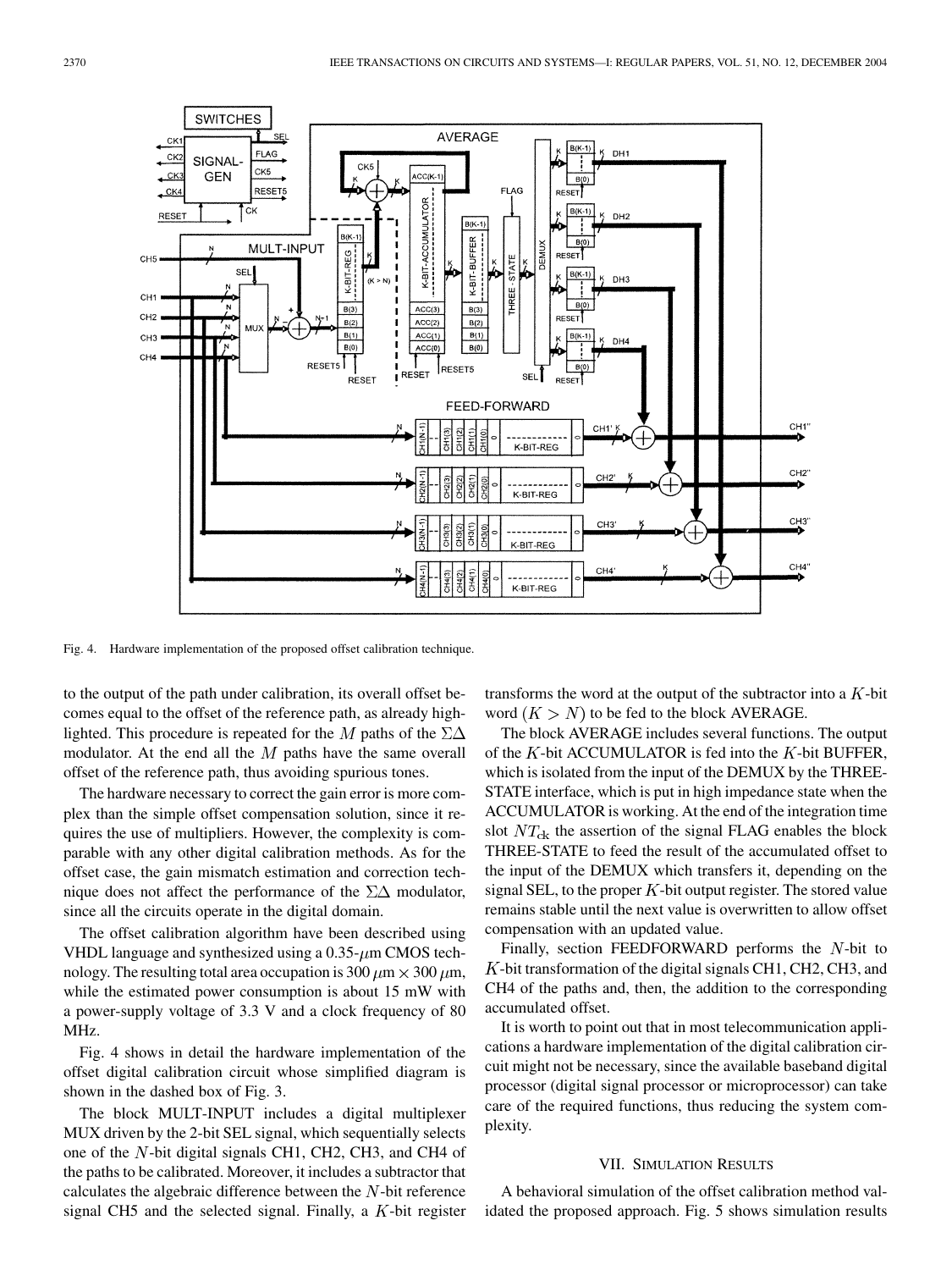

Fig. 4. Hardware implementation of the proposed offset calibration technique.

to the output of the path under calibration, its overall offset becomes equal to the offset of the reference path, as already highlighted. This procedure is repeated for the M paths of the  $\Sigma\Delta$ modulator. At the end all the  $M$  paths have the same overall offset of the reference path, thus avoiding spurious tones.

The hardware necessary to correct the gain error is more complex than the simple offset compensation solution, since it requires the use of multipliers. However, the complexity is comparable with any other digital calibration methods. As for the offset case, the gain mismatch estimation and correction technique does not affect the performance of the  $\Sigma\Delta$  modulator, since all the circuits operate in the digital domain.

The offset calibration algorithm have been described using VHDL language and synthesized using a  $0.35$ - $\mu$ m CMOS technology. The resulting total area occupation is 300  $\mu$ m  $\times$  300  $\mu$ m, while the estimated power consumption is about 15 mW with a power-supply voltage of 3.3 V and a clock frequency of 80 MHz.

Fig. 4 shows in detail the hardware implementation of the offset digital calibration circuit whose simplified diagram is shown in the dashed box of Fig. 3.

The block MULT-INPUT includes a digital multiplexer MUX driven by the 2-bit SEL signal, which sequentially selects one of the  $N$ -bit digital signals CH1, CH2, CH3, and CH4 of the paths to be calibrated. Moreover, it includes a subtractor that calculates the algebraic difference between the  $N$ -bit reference signal CH5 and the selected signal. Finally, a  $K$ -bit register transforms the word at the output of the subtractor into a  $K$ -bit word  $(K > N)$  to be fed to the block AVERAGE.

The block AVERAGE includes several functions. The output of the  $K$ -bit ACCUMULATOR is fed into the  $K$ -bit BUFFER, which is isolated from the input of the DEMUX by the THREE-STATE interface, which is put in high impedance state when the ACCUMULATOR is working. At the end of the integration time slot  $NT_{ck}$  the assertion of the signal FLAG enables the block THREE-STATE to feed the result of the accumulated offset to the input of the DEMUX which transfers it, depending on the signal SEL, to the proper  $K$ -bit output register. The stored value remains stable until the next value is overwritten to allow offset compensation with an updated value.

Finally, section FEEDFORWARD performs the  $N$ -bit to  $K$ -bit transformation of the digital signals CH1, CH2, CH3, and CH4 of the paths and, then, the addition to the corresponding accumulated offset.

It is worth to point out that in most telecommunication applications a hardware implementation of the digital calibration circuit might not be necessary, since the available baseband digital processor (digital signal processor or microprocessor) can take care of the required functions, thus reducing the system complexity.

# VII. SIMULATION RESULTS

A behavioral simulation of the offset calibration method validated the proposed approach. Fig. 5 shows simulation results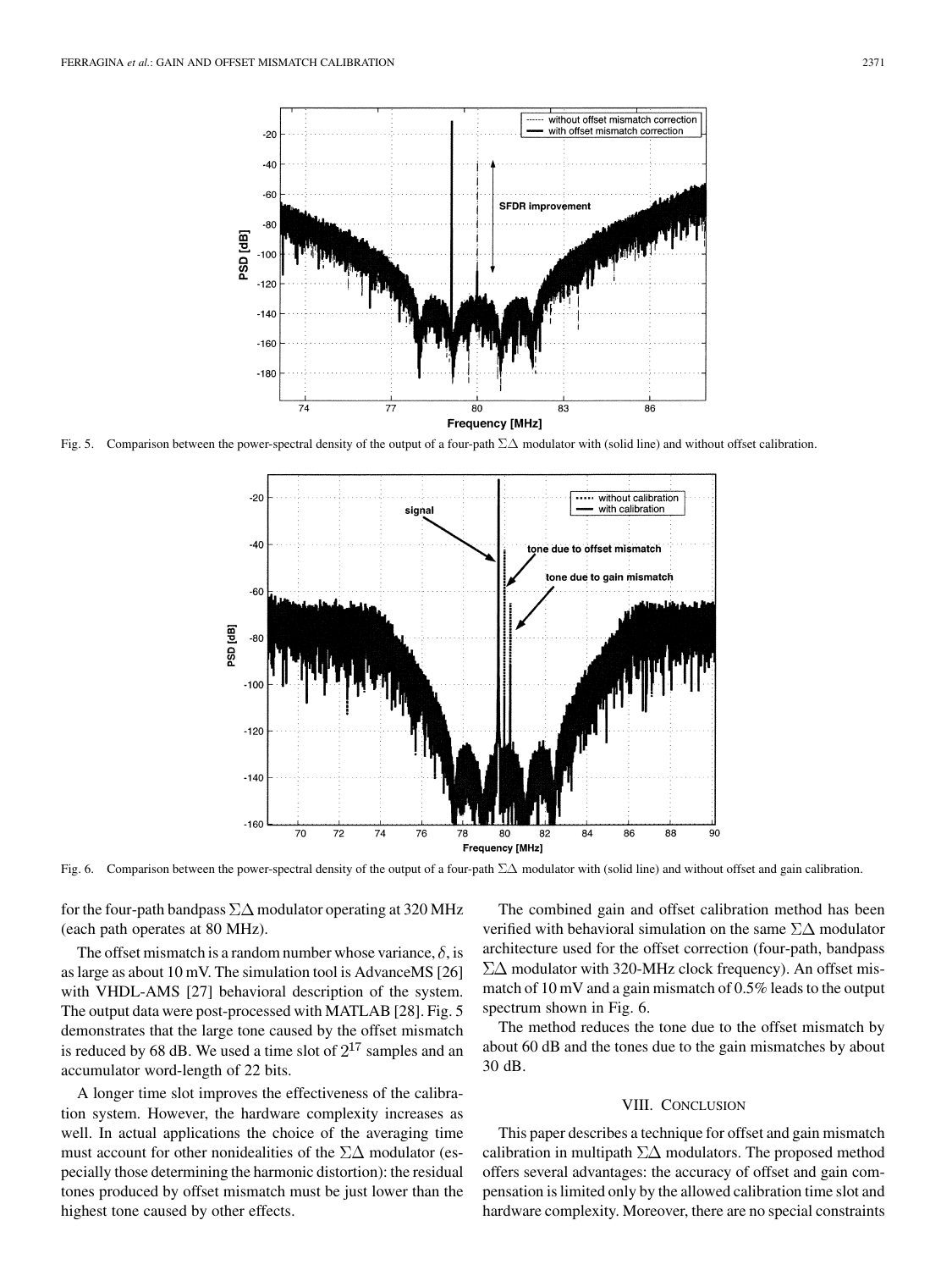

Fig. 5. Comparison between the power-spectral density of the output of a four-path  $\Sigma\Delta$  modulator with (solid line) and without offset calibration.



Fig. 6. Comparison between the power-spectral density of the output of a four-path  $\Sigma\Delta$  modulator with (solid line) and without offset and gain calibration.

for the four-path bandpass  $\Sigma\Delta$  modulator operating at 320 MHz (each path operates at 80 MHz).

The offset mismatch is a random number whose variance,  $\delta$ , is as large as about 10 mV. The simulation tool is AdvanceMS [[26\]](#page-8-0) with VHDL-AMS [[27\]](#page-8-0) behavioral description of the system. The output data were post-processed with MATLAB [\[28\]](#page-8-0). Fig. 5 demonstrates that the large tone caused by the offset mismatch is reduced by 68 dB. We used a time slot of  $2^{17}$  samples and an accumulator word-length of 22 bits.

A longer time slot improves the effectiveness of the calibration system. However, the hardware complexity increases as well. In actual applications the choice of the averaging time must account for other nonidealities of the  $\Sigma\Delta$  modulator (especially those determining the harmonic distortion): the residual tones produced by offset mismatch must be just lower than the highest tone caused by other effects.

The combined gain and offset calibration method has been verified with behavioral simulation on the same  $\Sigma\Delta$  modulator architecture used for the offset correction (four-path, bandpass  $\Sigma\Delta$  modulator with 320-MHz clock frequency). An offset mismatch of 10 mV and a gain mismatch of 0.5% leads to the output spectrum shown in Fig. 6.

The method reduces the tone due to the offset mismatch by about 60 dB and the tones due to the gain mismatches by about 30 dB.

#### VIII. CONCLUSION

This paper describes a technique for offset and gain mismatch calibration in multipath  $\Sigma\Delta$  modulators. The proposed method offers several advantages: the accuracy of offset and gain compensation is limited only by the allowed calibration time slot and hardware complexity. Moreover, there are no special constraints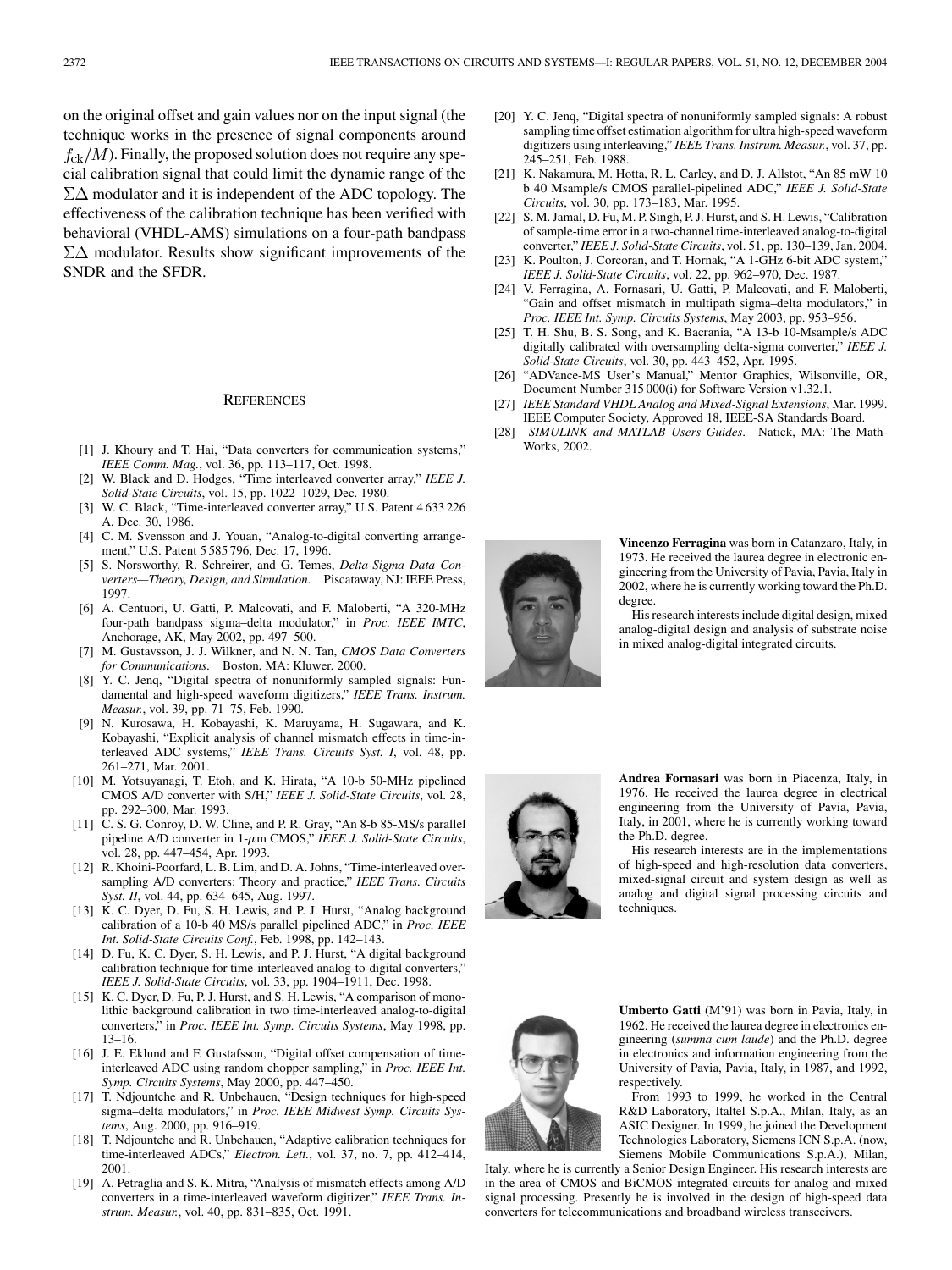<span id="page-8-0"></span>on the original offset and gain values nor on the input signal (the technique works in the presence of signal components around  $f_{\rm c k}/M$ ). Finally, the proposed solution does not require any special calibration signal that could limit the dynamic range of the  $\Sigma\Delta$  modulator and it is independent of the ADC topology. The effectiveness of the calibration technique has been verified with behavioral (VHDL-AMS) simulations on a four-path bandpass  $\Sigma\Delta$  modulator. Results show significant improvements of the SNDR and the SFDR.

#### **REFERENCES**

- [1] J. Khoury and T. Hai, "Data converters for communication systems," *IEEE Comm. Mag.*, vol. 36, pp. 113–117, Oct. 1998.
- [2] W. Black and D. Hodges, "Time interleaved converter array," *IEEE J. Solid-State Circuits*, vol. 15, pp. 1022–1029, Dec. 1980.
- [3] W. C. Black, "Time-interleaved converter array," U.S. Patent 4 633 226 A, Dec. 30, 1986.
- [4] C. M. Svensson and J. Youan, "Analog-to-digital converting arrangement," U.S. Patent 5 585 796, Dec. 17, 1996.
- [5] S. Norsworthy, R. Schreirer, and G. Temes, *Delta-Sigma Data Converters—Theory, Design, and Simulation*. Piscataway, NJ: IEEE Press, 1997.
- [6] A. Centuori, U. Gatti, P. Malcovati, and F. Maloberti, "A 320-MHz four-path bandpass sigma–delta modulator," in *Proc. IEEE IMTC*, Anchorage, AK, May 2002, pp. 497–500.
- [7] M. Gustavsson, J. J. Wilkner, and N. N. Tan, *CMOS Data Converters for Communications*. Boston, MA: Kluwer, 2000.
- [8] Y. C. Jenq, "Digital spectra of nonuniformly sampled signals: Fundamental and high-speed waveform digitizers," *IEEE Trans. Instrum. Measur.*, vol. 39, pp. 71–75, Feb. 1990.
- [9] N. Kurosawa, H. Kobayashi, K. Maruyama, H. Sugawara, and K. Kobayashi, "Explicit analysis of channel mismatch effects in time-interleaved ADC systems," *IEEE Trans. Circuits Syst. I*, vol. 48, pp. 261–271, Mar. 2001.
- [10] M. Yotsuyanagi, T. Etoh, and K. Hirata, "A 10-b 50-MHz pipelined CMOS A/D converter with S/H," *IEEE J. Solid-State Circuits*, vol. 28, pp. 292–300, Mar. 1993.
- [11] C. S. G. Conroy, D. W. Cline, and P. R. Gray, "An 8-b 85-MS/s parallel pipeline A/D converter in 1- $\mu$ m CMOS," *IEEE J. Solid-State Circuits*, vol. 28, pp. 447–454, Apr. 1993.
- [12] R. Khoini-Poorfard, L. B. Lim, and D. A. Johns, "Time-interleaved oversampling A/D converters: Theory and practice," *IEEE Trans. Circuits Syst. II*, vol. 44, pp. 634–645, Aug. 1997.
- [13] K. C. Dyer, D. Fu, S. H. Lewis, and P. J. Hurst, "Analog background calibration of a 10-b 40 MS/s parallel pipelined ADC," in *Proc. IEEE Int. Solid-State Circuits Conf.*, Feb. 1998, pp. 142–143.
- [14] D. Fu, K. C. Dyer, S. H. Lewis, and P. J. Hurst, "A digital background calibration technique for time-interleaved analog-to-digital converters," *IEEE J. Solid-State Circuits*, vol. 33, pp. 1904–1911, Dec. 1998.
- [15] K. C. Dyer, D. Fu, P. J. Hurst, and S. H. Lewis, "A comparison of monolithic background calibration in two time-interleaved analog-to-digital converters," in *Proc. IEEE Int. Symp. Circuits Systems*, May 1998, pp. 13–16.
- [16] J. E. Eklund and F. Gustafsson, "Digital offset compensation of timeinterleaved ADC using random chopper sampling," in *Proc. IEEE Int. Symp. Circuits Systems*, May 2000, pp. 447–450.
- [17] T. Ndjountche and R. Unbehauen, "Design techniques for high-speed sigma–delta modulators," in *Proc. IEEE Midwest Symp. Circuits Systems*, Aug. 2000, pp. 916–919.
- [18] T. Ndjountche and R. Unbehauen, "Adaptive calibration techniques for time-interleaved ADCs," *Electron. Lett.*, vol. 37, no. 7, pp. 412–414, 2001.
- [19] A. Petraglia and S. K. Mitra, "Analysis of mismatch effects among A/D converters in a time-interleaved waveform digitizer," *IEEE Trans. Instrum. Measur.*, vol. 40, pp. 831–835, Oct. 1991.
- [20] Y. C. Jenq, "Digital spectra of nonuniformly sampled signals: A robust sampling time offset estimation algorithm for ultra high-speed waveform digitizers using interleaving," *IEEE Trans. Instrum. Measur.*, vol. 37, pp. 245–251, Feb. 1988.
- [21] K. Nakamura, M. Hotta, R. L. Carley, and D. J. Allstot, "An 85 mW 10 b 40 Msample/s CMOS parallel-pipelined ADC," *IEEE J. Solid-State Circuits*, vol. 30, pp. 173–183, Mar. 1995.
- [22] S. M. Jamal, D. Fu, M. P. Singh, P. J. Hurst, and S. H. Lewis, "Calibration of sample-time error in a two-channel time-interleaved analog-to-digital converter," *IEEE J. Solid-State Circuits*, vol. 51, pp. 130–139, Jan. 2004.
- [23] K. Poulton, J. Corcoran, and T. Hornak, "A 1-GHz 6-bit ADC system," *IEEE J. Solid-State Circuits*, vol. 22, pp. 962–970, Dec. 1987.
- [24] V. Ferragina, A. Fornasari, U. Gatti, P. Malcovati, and F. Maloberti, "Gain and offset mismatch in multipath sigma–delta modulators," in *Proc. IEEE Int. Symp. Circuits Systems*, May 2003, pp. 953–956.
- [25] T. H. Shu, B. S. Song, and K. Bacrania, "A 13-b 10-Msample/s ADC digitally calibrated with oversampling delta-sigma converter," *IEEE J. Solid-State Circuits*, vol. 30, pp. 443–452, Apr. 1995.
- [26] "ADVance-MS User's Manual," Mentor Graphics, Wilsonville, OR, Document Number 315 000(i) for Software Version v1.32.1.
- [27] *IEEE Standard VHDL Analog and Mixed-Signal Extensions*, Mar. 1999. IEEE Computer Society, Approved 18, IEEE-SA Standards Board.
- [28] *SIMULINK and MATLAB Users Guides*. Natick, MA: The Math-Works, 2002.



**Vincenzo Ferragina** was born in Catanzaro, Italy, in 1973. He received the laurea degree in electronic engineering from the University of Pavia, Pavia, Italy in 2002, where he is currently working toward the Ph.D. degree.

His research interests include digital design, mixed analog-digital design and analysis of substrate noise in mixed analog-digital integrated circuits.



**Andrea Fornasari** was born in Piacenza, Italy, in 1976. He received the laurea degree in electrical engineering from the University of Pavia, Pavia, Italy, in 2001, where he is currently working toward the Ph.D. degree.

His research interests are in the implementations of high-speed and high-resolution data converters, mixed-signal circuit and system design as well as analog and digital signal processing circuits and techniques.



**Umberto Gatti** (M'91) was born in Pavia, Italy, in 1962. He received the laurea degree in electronics engineering (*summa cum laude*) and the Ph.D. degree in electronics and information engineering from the University of Pavia, Pavia, Italy, in 1987, and 1992, respectively.

From 1993 to 1999, he worked in the Central R&D Laboratory, Italtel S.p.A., Milan, Italy, as an ASIC Designer. In 1999, he joined the Development Technologies Laboratory, Siemens ICN S.p.A. (now, Siemens Mobile Communications S.p.A.), Milan,

Italy, where he is currently a Senior Design Engineer. His research interests are in the area of CMOS and BiCMOS integrated circuits for analog and mixed signal processing. Presently he is involved in the design of high-speed data converters for telecommunications and broadband wireless transceivers.